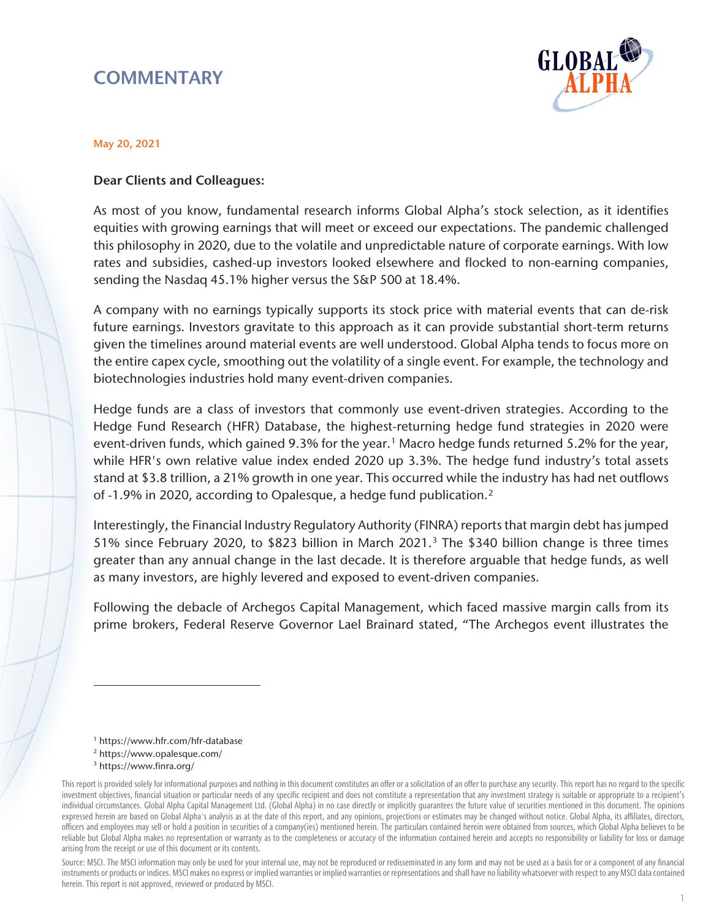# **COMMENTARY**



#### May 20, 2021

#### Dear Clients and Colleagues:

As most of you know, fundamental research informs Global Alpha's stock selection, as it identifies equities with growing earnings that will meet or exceed our expectations. The pandemic challenged this philosophy in 2020, due to the volatile and unpredictable nature of corporate earnings. With low rates and subsidies, cashed-up investors looked elsewhere and flocked to non-earning companies, sending the Nasdaq 45.1% higher versus the S&P 500 at 18.4%.

A company with no earnings typically supports its stock price with material events that can de-risk future earnings. Investors gravitate to this approach as it can provide substantial short-term returns given the timelines around material events are well understood. Global Alpha tends to focus more on the entire capex cycle, smoothing out the volatility of a single event. For example, the technology and biotechnologies industries hold many event-driven companies.

Hedge funds are a class of investors that commonly use event-driven strategies. According to the Hedge Fund Research (HFR) Database, the highest-returning hedge fund strategies in 2020 were event-driven funds, which gained 9.3% for the year.<sup>[1](#page-0-0)</sup> Macro hedge funds returned 5.2% for the year, while HFR's own relative value index ended 2020 up 3.3%. The hedge fund industry's total assets stand at \$3.8 trillion, a 21% growth in one year. This occurred while the industry has had net outflows of -1.9% in 2020, according to Opalesque, a hedge fund publication.[2](#page-0-1)

Interestingly, the Financial Industry Regulatory Authority (FINRA) reports that margin debt has jumped 51% since February 2020, to \$82[3](#page-0-2) billion in March 2021.<sup>3</sup> The \$340 billion change is three times greater than any annual change in the last decade. It is therefore arguable that hedge funds, as well as many investors, are highly levered and exposed to event-driven companies.

Following the debacle of Archegos Capital Management, which faced massive margin calls from its prime brokers, Federal Reserve Governor Lael Brainard stated, "The Archegos event illustrates the

- <sup>1</sup> https://www.hfr.com/hfr-database
- <sup>2</sup> https://www.opalesque.com/
- <sup>3</sup> https://www.finra.org/

 $\overline{a}$ 

Source: MSCI. The MSCI information may only be used for your internal use, may not be reproduced or redisseminated in any form and may not be used as a basis for or a component of any financial instruments or products or indices. MSCI makes no express or implied warranties or implied warranties or representations and shall have no liability whatsoever with respect to any MSCI data contained herein. This report is not approved, reviewed or produced by MSCI.

<span id="page-0-2"></span><span id="page-0-1"></span><span id="page-0-0"></span>This report is provided solely for informational purposes and nothing in this document constitutes an offer or a solicitation of an offer to purchase any security. This report has no regard to the specific investment objectives, financial situation or particular needs of any specific recipient and does not constitute a representation that any investment strategy is suitable or appropriate to a recipient's individual circumstances. Global Alpha Capital Management Ltd. (Global Alpha) in no case directly or implicitly guarantees the future value of securities mentioned in this document. The opinions expressed herein are based on Global Alpha's analysis as at the date of this report, and any opinions, projections or estimates may be changed without notice. Global Alpha, its affiliates, directors, officers and employees may sell or hold a position in securities of a company(ies) mentioned herein. The particulars contained herein were obtained from sources, which Global Alpha believes to be reliable but Global Alpha makes no representation or warranty as to the completeness or accuracy of the information contained herein and accepts no responsibility or liability for loss or damage arising from the receipt or use of this document or its contents.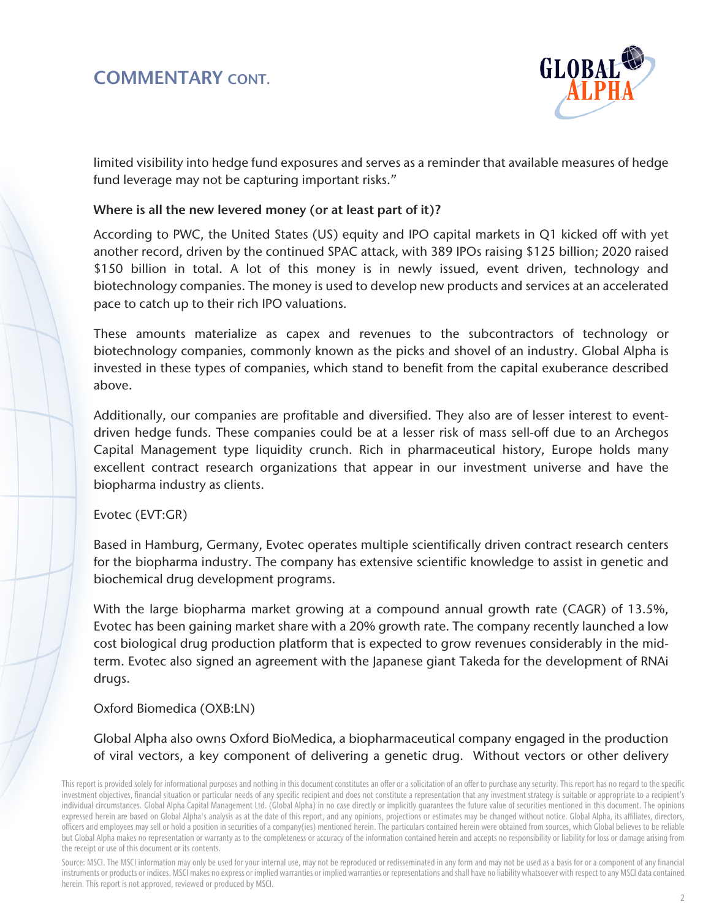## COMMENTARY CONT.



limited visibility into hedge fund exposures and serves as a reminder that available measures of hedge fund leverage may not be capturing important risks."

#### Where is all the new levered money (or at least part of it)?

According to PWC, the United States (US) equity and IPO capital markets in Q1 kicked off with yet another record, driven by the continued SPAC attack, with 389 IPOs raising \$125 billion; 2020 raised \$150 billion in total. A lot of this money is in newly issued, event driven, technology and biotechnology companies. The money is used to develop new products and services at an accelerated pace to catch up to their rich IPO valuations.

These amounts materialize as capex and revenues to the subcontractors of technology or biotechnology companies, commonly known as the picks and shovel of an industry. Global Alpha is invested in these types of companies, which stand to benefit from the capital exuberance described above.

Additionally, our companies are profitable and diversified. They also are of lesser interest to eventdriven hedge funds. These companies could be at a lesser risk of mass sell-off due to an Archegos Capital Management type liquidity crunch. Rich in pharmaceutical history, Europe holds many excellent contract research organizations that appear in our investment universe and have the biopharma industry as clients.

Evotec (EVT:GR)

Based in Hamburg, Germany, Evotec operates multiple scientifically driven contract research centers for the biopharma industry. The company has extensive scientific knowledge to assist in genetic and biochemical drug development programs.

With the large biopharma market growing at a compound annual growth rate (CAGR) of 13.5%, Evotec has been gaining market share with a 20% growth rate. The company recently launched a low cost biological drug production platform that is expected to grow revenues considerably in the midterm. Evotec also signed an agreement with the Japanese giant Takeda for the development of RNAi drugs.

### Oxford Biomedica (OXB:LN)

Global Alpha also owns Oxford BioMedica, a biopharmaceutical company engaged in the production of viral vectors, a key component of delivering a genetic drug. Without vectors or other delivery

Source: MSCI. The MSCI information may only be used for your internal use, may not be reproduced or redisseminated in any form and may not be used as a basis for or a component of any financial instruments or products or indices. MSCI makes no express or implied warranties or implied warranties or representations and shall have no liability whatsoever with respect to any MSCI data contained herein. This report is not approved, reviewed or produced by MSCI.

This report is provided solely for informational purposes and nothing in this document constitutes an offer or a solicitation of an offer to purchase any security. This report has no regard to the specific investment objectives, financial situation or particular needs of any specific recipient and does not constitute a representation that any investment strategy is suitable or appropriate to a recipient's individual circumstances. Global Alpha Capital Management Ltd. (Global Alpha) in no case directly or implicitly guarantees the future value of securities mentioned in this document. The opinions expressed herein are based on Global Alpha's analysis as at the date of this report, and any opinions, projections or estimates may be changed without notice. Global Alpha, its affiliates, directors, officers and employees may sell or hold a position in securities of a company(ies) mentioned herein. The particulars contained herein were obtained from sources, which Global believes to be reliable but Global Alpha makes no representation or warranty as to the completeness or accuracy of the information contained herein and accepts no responsibility or liability for loss or damage arising from the receipt or use of this document or its contents.